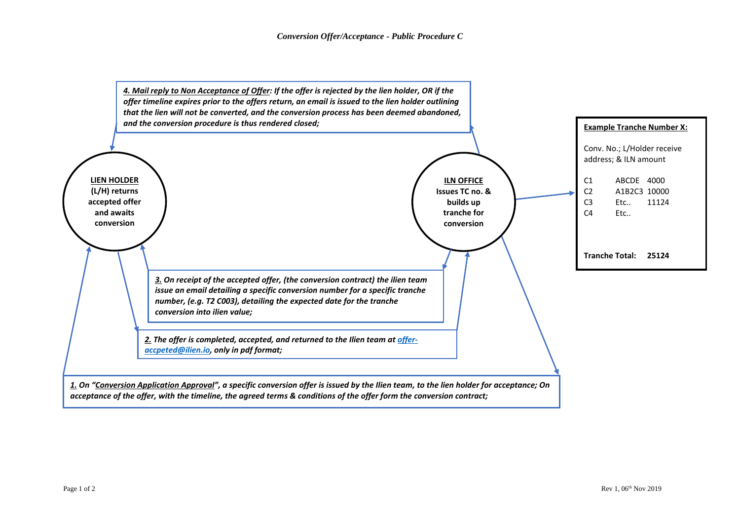